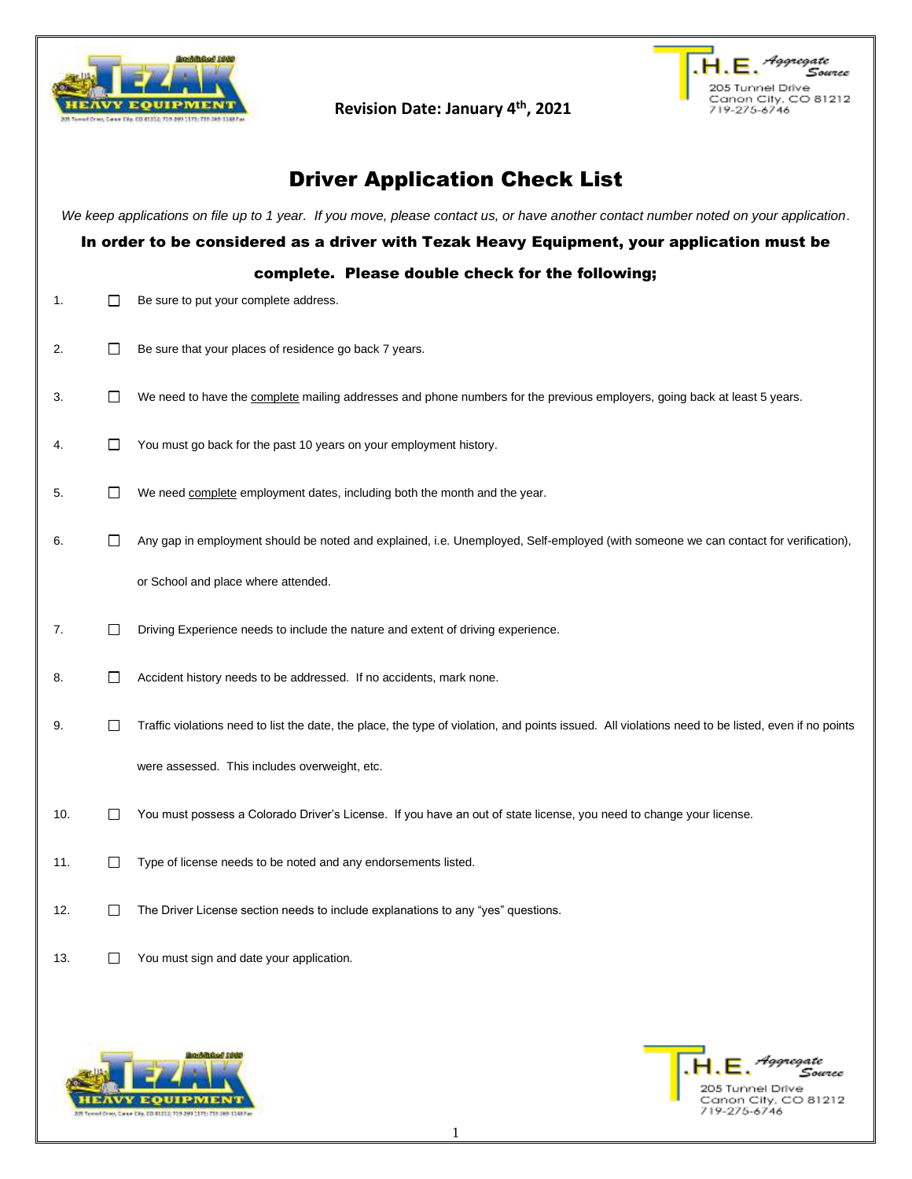

**Revision Date: January 4th, 2021**



# Driver Application Check List

*We keep applications on file up to 1 year. If you move, please contact us, or have another contact number noted on your application*.

### In order to be considered as a driver with Tezak Heavy Equipment, your application must be

### complete. Please double check for the following;

- 1. **Be sure to put your complete address.**
- 2. Be sure that your places of residence go back 7 years.
- 3. We need to have the complete mailing addresses and phone numbers for the previous employers, going back at least 5 years.
- 4.  $\Box$  You must go back for the past 10 years on your employment history.
- 5. We need complete employment dates, including both the month and the year.
- 6. **Any gap in employment should be noted and explained, i.e. Unemployed, Self-employed (with someone we can contact for verification),** or School and place where attended.
- 7. Driving Experience needs to include the nature and extent of driving experience.
- 8. **Accident history needs to be addressed.** If no accidents, mark none.
- 9. Traffic violations need to list the date, the place, the type of violation, and points issued. All violations need to be listed, even if no points were assessed. This includes overweight, etc.
- 10.  $\Box$  You must possess a Colorado Driver's License. If you have an out of state license, you need to change your license.
- 11.  $\Box$  Type of license needs to be noted and any endorsements listed.
- 12. The Driver License section needs to include explanations to any "yes" questions.
- 13. The You must sign and date your application.



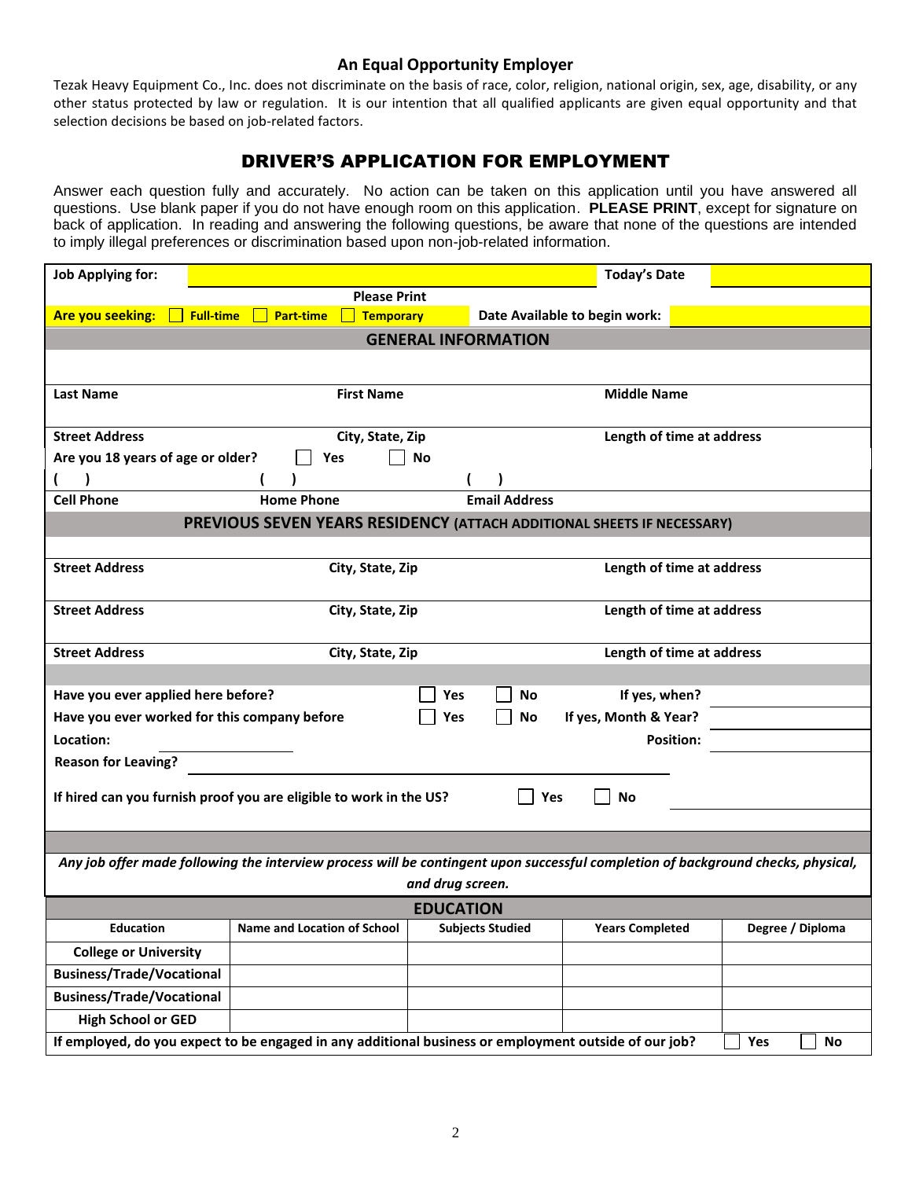## **An Equal Opportunity Employer**

Tezak Heavy Equipment Co., Inc. does not discriminate on the basis of race, color, religion, national origin, sex, age, disability, or any other status protected by law or regulation. It is our intention that all qualified applicants are given equal opportunity and that selection decisions be based on job-related factors.

## DRIVER'S APPLICATION FOR EMPLOYMENT

Answer each question fully and accurately. No action can be taken on this application until you have answered all questions. Use blank paper if you do not have enough room on this application. **PLEASE PRINT**, except for signature on back of application. In reading and answering the following questions, be aware that none of the questions are intended to imply illegal preferences or discrimination based upon non-job-related information.

| <b>Job Applying for:</b>                     |                                                                                                                                  |                            |                               | <b>Today's Date</b>       |                  |
|----------------------------------------------|----------------------------------------------------------------------------------------------------------------------------------|----------------------------|-------------------------------|---------------------------|------------------|
|                                              | <b>Please Print</b>                                                                                                              |                            |                               |                           |                  |
| Are you seeking:<br><b>Full-time</b>         | <b>Part-time</b><br><b>Temporary</b>                                                                                             |                            | Date Available to begin work: |                           |                  |
|                                              |                                                                                                                                  | <b>GENERAL INFORMATION</b> |                               |                           |                  |
|                                              |                                                                                                                                  |                            |                               |                           |                  |
| <b>Last Name</b>                             | <b>First Name</b>                                                                                                                |                            |                               | <b>Middle Name</b>        |                  |
|                                              |                                                                                                                                  |                            |                               |                           |                  |
| <b>Street Address</b>                        | City, State, Zip                                                                                                                 |                            |                               | Length of time at address |                  |
| Are you 18 years of age or older?            | Yes                                                                                                                              | No                         |                               |                           |                  |
| <b>Cell Phone</b>                            | <b>Home Phone</b>                                                                                                                | <b>Email Address</b>       |                               |                           |                  |
|                                              | PREVIOUS SEVEN YEARS RESIDENCY (ATTACH ADDITIONAL SHEETS IF NECESSARY)                                                           |                            |                               |                           |                  |
|                                              |                                                                                                                                  |                            |                               |                           |                  |
| <b>Street Address</b>                        | City, State, Zip                                                                                                                 |                            |                               | Length of time at address |                  |
|                                              |                                                                                                                                  |                            |                               |                           |                  |
| <b>Street Address</b>                        | City, State, Zip                                                                                                                 |                            |                               | Length of time at address |                  |
|                                              |                                                                                                                                  |                            |                               |                           |                  |
| <b>Street Address</b>                        | City, State, Zip                                                                                                                 |                            |                               | Length of time at address |                  |
|                                              |                                                                                                                                  |                            |                               |                           |                  |
| Have you ever applied here before?           |                                                                                                                                  | Yes                        | No                            | If yes, when?             |                  |
| Have you ever worked for this company before |                                                                                                                                  | Yes                        | If yes, Month & Year?<br>No   |                           |                  |
| Location:                                    |                                                                                                                                  |                            |                               | <b>Position:</b>          |                  |
| <b>Reason for Leaving?</b>                   |                                                                                                                                  |                            |                               |                           |                  |
|                                              |                                                                                                                                  |                            |                               |                           |                  |
|                                              | If hired can you furnish proof you are eligible to work in the US?                                                               |                            | <b>No</b><br>Yes              |                           |                  |
|                                              |                                                                                                                                  |                            |                               |                           |                  |
|                                              | Any job offer made following the interview process will be contingent upon successful completion of background checks, physical, |                            |                               |                           |                  |
|                                              |                                                                                                                                  | and drug screen.           |                               |                           |                  |
|                                              |                                                                                                                                  | <b>EDUCATION</b>           |                               |                           |                  |
| <b>Education</b>                             | <b>Name and Location of School</b>                                                                                               | <b>Subjects Studied</b>    |                               | <b>Years Completed</b>    | Degree / Diploma |
| <b>College or University</b>                 |                                                                                                                                  |                            |                               |                           |                  |
| <b>Business/Trade/Vocational</b>             |                                                                                                                                  |                            |                               |                           |                  |
| <b>Business/Trade/Vocational</b>             |                                                                                                                                  |                            |                               |                           |                  |
| <b>High School or GED</b>                    |                                                                                                                                  |                            |                               |                           |                  |
|                                              | If employed, do you expect to be engaged in any additional business or employment outside of our job?                            |                            |                               |                           | Yes<br>No        |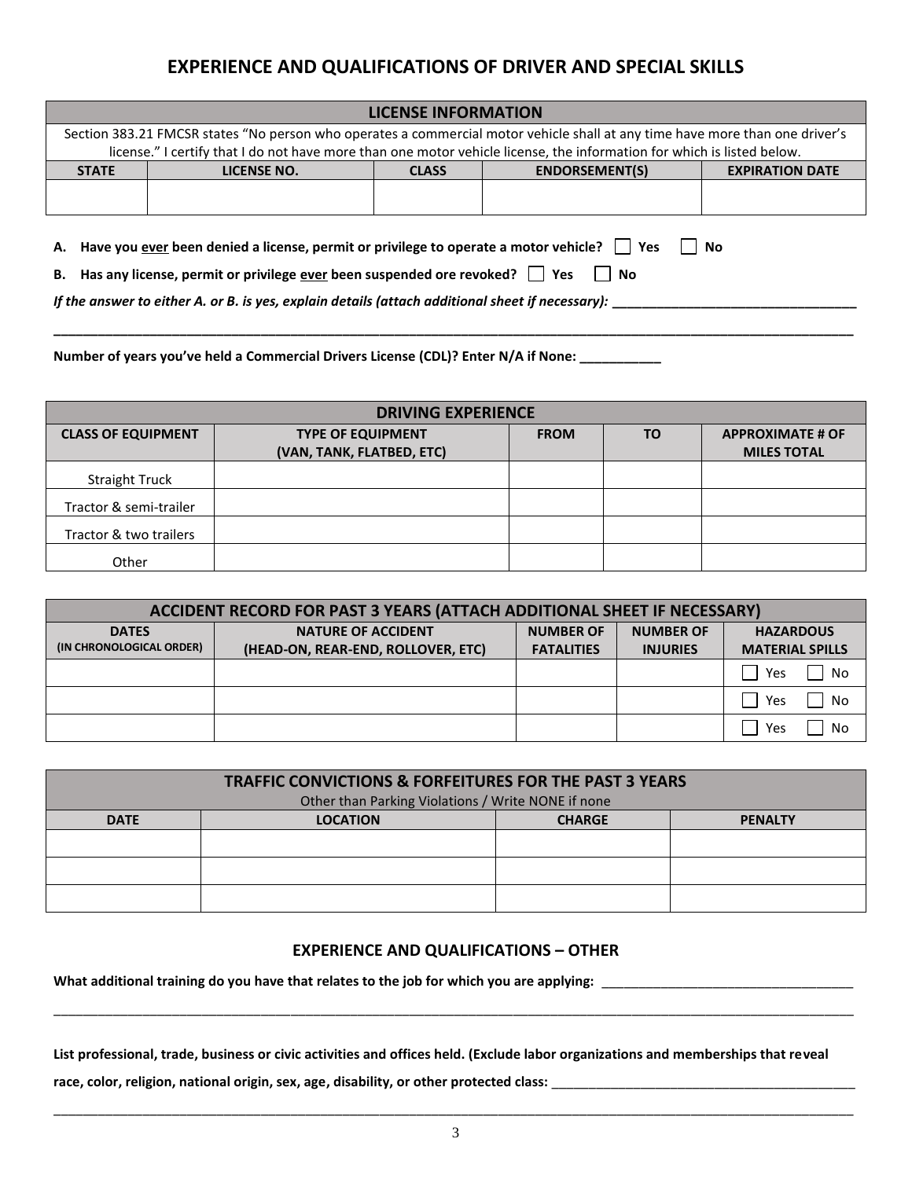# **EXPERIENCE AND QUALIFICATIONS OF DRIVER AND SPECIAL SKILLS**

| <b>LICENSE INFORMATION</b> |                                                                                                                                                                                                                                                        |              |                                                 |  |  |
|----------------------------|--------------------------------------------------------------------------------------------------------------------------------------------------------------------------------------------------------------------------------------------------------|--------------|-------------------------------------------------|--|--|
|                            | Section 383.21 FMCSR states "No person who operates a commercial motor vehicle shall at any time have more than one driver's<br>license." I certify that I do not have more than one motor vehicle license, the information for which is listed below. |              |                                                 |  |  |
|                            |                                                                                                                                                                                                                                                        |              |                                                 |  |  |
| <b>STATE</b>               | LICENSE NO.                                                                                                                                                                                                                                            | <b>CLASS</b> | <b>ENDORSEMENT(S)</b><br><b>EXPIRATION DATE</b> |  |  |
|                            |                                                                                                                                                                                                                                                        |              |                                                 |  |  |
|                            |                                                                                                                                                                                                                                                        |              |                                                 |  |  |
|                            |                                                                                                                                                                                                                                                        |              |                                                 |  |  |
|                            |                                                                                                                                                                                                                                                        |              |                                                 |  |  |

**A.** Have you ever been denied a license, permit or privilege to operate a motor vehicle?  $\Box$  Yes  $\Box$  No

**B.** Has any license, permit or privilege ever been suspended ore revoked?  $\Box$  Yes  $\Box$  No

*If the answer to either A. or B. is yes, explain details (attach additional sheet if necessary):* 

**Number of years you've held a Commercial Drivers License (CDL)? Enter N/A if None: \_\_\_\_\_\_\_\_\_\_\_**

| <b>DRIVING EXPERIENCE</b> |                                                       |             |    |                                               |  |
|---------------------------|-------------------------------------------------------|-------------|----|-----------------------------------------------|--|
| <b>CLASS OF EQUIPMENT</b> | <b>TYPE OF EQUIPMENT</b><br>(VAN, TANK, FLATBED, ETC) | <b>FROM</b> | ΤO | <b>APPROXIMATE # OF</b><br><b>MILES TOTAL</b> |  |
| <b>Straight Truck</b>     |                                                       |             |    |                                               |  |
| Tractor & semi-trailer    |                                                       |             |    |                                               |  |
| Tractor & two trailers    |                                                       |             |    |                                               |  |
| Other                     |                                                       |             |    |                                               |  |

**\_\_\_\_\_\_\_\_\_\_\_\_\_\_\_\_\_\_\_\_\_\_\_\_\_\_\_\_\_\_\_\_\_\_\_\_\_\_\_\_\_\_\_\_\_\_\_\_\_\_\_\_\_\_\_\_\_\_\_\_\_\_\_\_\_\_\_\_\_\_\_\_\_\_\_\_\_\_\_\_\_\_\_\_\_\_\_\_\_\_\_\_\_\_\_\_\_\_\_\_\_\_\_\_\_\_\_\_**

| ACCIDENT RECORD FOR PAST 3 YEARS (ATTACH ADDITIONAL SHEET IF NECESSARY) |                                    |                   |                  |                        |
|-------------------------------------------------------------------------|------------------------------------|-------------------|------------------|------------------------|
| <b>DATES</b>                                                            | <b>NATURE OF ACCIDENT</b>          | <b>NUMBER OF</b>  | <b>NUMBER OF</b> | <b>HAZARDOUS</b>       |
| (IN CHRONOLOGICAL ORDER)                                                | (HEAD-ON, REAR-END, ROLLOVER, ETC) | <b>FATALITIES</b> | <b>INJURIES</b>  | <b>MATERIAL SPILLS</b> |
|                                                                         |                                    |                   |                  | No<br>Yes              |
|                                                                         |                                    |                   |                  | No<br>Yes              |
|                                                                         |                                    |                   |                  | No<br>Yes              |

| <b>TRAFFIC CONVICTIONS &amp; FORFEITURES FOR THE PAST 3 YEARS</b> |                                                    |               |                |  |  |
|-------------------------------------------------------------------|----------------------------------------------------|---------------|----------------|--|--|
|                                                                   | Other than Parking Violations / Write NONE if none |               |                |  |  |
| <b>DATE</b>                                                       | <b>LOCATION</b>                                    | <b>CHARGE</b> | <b>PENALTY</b> |  |  |
|                                                                   |                                                    |               |                |  |  |
|                                                                   |                                                    |               |                |  |  |
|                                                                   |                                                    |               |                |  |  |

## **EXPERIENCE AND QUALIFICATIONS – OTHER**

\_\_\_\_\_\_\_\_\_\_\_\_\_\_\_\_\_\_\_\_\_\_\_\_\_\_\_\_\_\_\_\_\_\_\_\_\_\_\_\_\_\_\_\_\_\_\_\_\_\_\_\_\_\_\_\_\_\_\_\_\_\_\_\_\_\_\_\_\_\_\_\_\_\_\_\_\_\_\_\_\_\_\_\_\_\_\_\_\_\_\_\_\_\_\_\_\_\_\_\_\_\_\_\_\_\_\_\_

**What additional training do you have that relates to the job for which you are applying:** \_\_\_\_\_\_\_\_\_\_\_\_\_\_\_\_\_\_\_\_\_\_\_\_\_\_\_\_\_\_\_\_\_\_

**List professional, trade, business or civic activities and offices held. (Exclude labor organizations and memberships that reveal**  race, color, religion, national origin, sex, age, disability, or other protected class: \_\_\_\_\_\_\_\_\_\_\_\_\_\_\_\_\_\_\_\_\_\_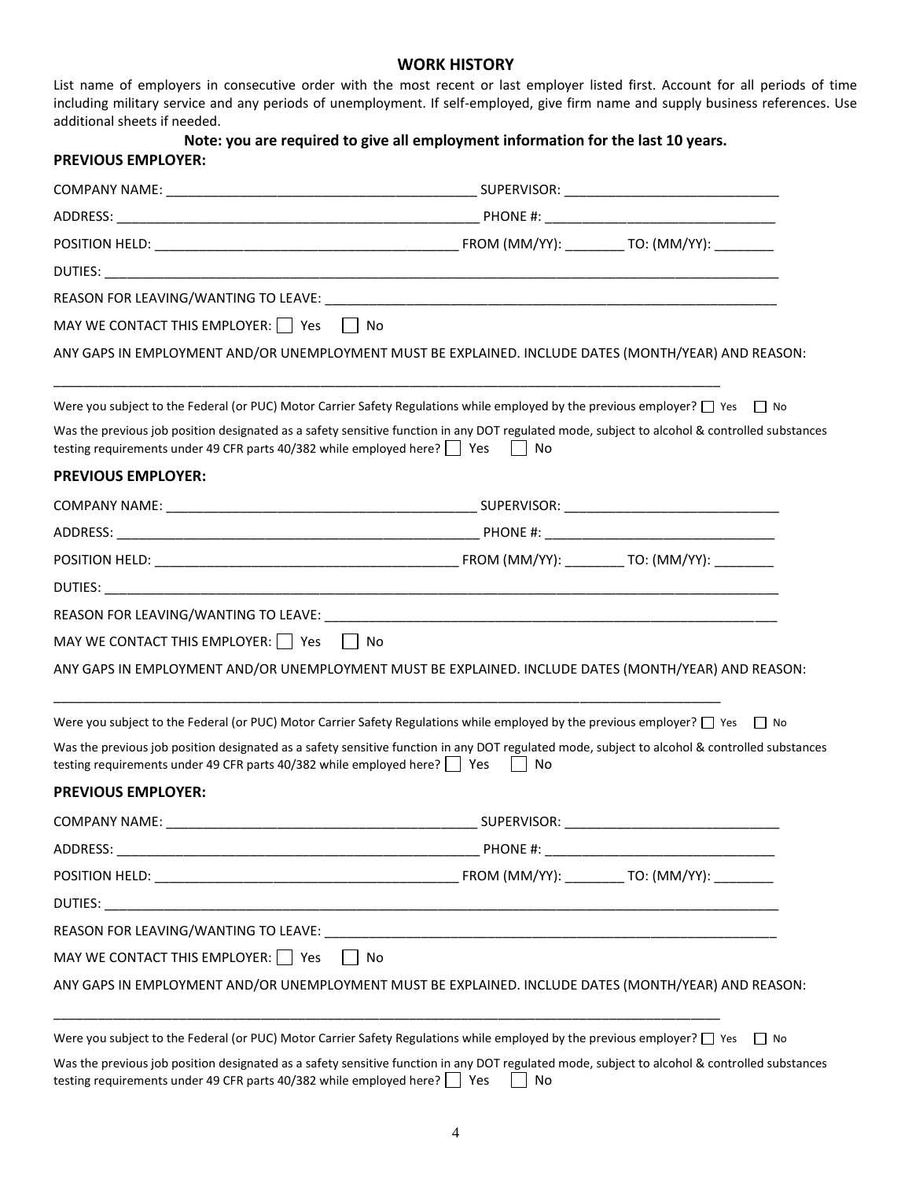### **WORK HISTORY**

List name of employers in consecutive order with the most recent or last employer listed first. Account for all periods of time including military service and any periods of unemployment. If self-employed, give firm name and supply business references. Use additional sheets if needed.

| <b>PREVIOUS EMPLOYER:</b>                                                 | Note: you are required to give all employment information for the last 10 years.                                                                               |
|---------------------------------------------------------------------------|----------------------------------------------------------------------------------------------------------------------------------------------------------------|
|                                                                           |                                                                                                                                                                |
|                                                                           |                                                                                                                                                                |
|                                                                           |                                                                                                                                                                |
|                                                                           |                                                                                                                                                                |
|                                                                           |                                                                                                                                                                |
| MAY WE CONTACT THIS EMPLOYER: $\Box$ Yes $\Box$ No                        |                                                                                                                                                                |
|                                                                           | ANY GAPS IN EMPLOYMENT AND/OR UNEMPLOYMENT MUST BE EXPLAINED. INCLUDE DATES (MONTH/YEAR) AND REASON:                                                           |
|                                                                           | Were you subject to the Federal (or PUC) Motor Carrier Safety Regulations while employed by the previous employer? $\Box$ Yes $\Box$ No                        |
| testing requirements under 49 CFR parts 40/382 while employed here?   Yes | Was the previous job position designated as a safety sensitive function in any DOT regulated mode, subject to alcohol & controlled substances<br>No<br>$\perp$ |
| <b>PREVIOUS EMPLOYER:</b>                                                 |                                                                                                                                                                |
|                                                                           |                                                                                                                                                                |
|                                                                           |                                                                                                                                                                |
|                                                                           |                                                                                                                                                                |
|                                                                           |                                                                                                                                                                |
|                                                                           |                                                                                                                                                                |
| MAY WE CONTACT THIS EMPLOYER: $\Box$ Yes $\Box$ No                        |                                                                                                                                                                |
|                                                                           | ANY GAPS IN EMPLOYMENT AND/OR UNEMPLOYMENT MUST BE EXPLAINED. INCLUDE DATES (MONTH/YEAR) AND REASON:                                                           |
|                                                                           | Were you subject to the Federal (or PUC) Motor Carrier Safety Regulations while employed by the previous employer? $\Box$ Yes $\Box$ No                        |
| testing requirements under 49 CFR parts 40/382 while employed here?   Yes | Was the previous job position designated as a safety sensitive function in any DOT regulated mode, subject to alcohol & controlled substances<br>No            |
| <b>PREVIOUS EMPLOYER:</b>                                                 |                                                                                                                                                                |
|                                                                           |                                                                                                                                                                |
|                                                                           |                                                                                                                                                                |
|                                                                           |                                                                                                                                                                |
|                                                                           |                                                                                                                                                                |
|                                                                           |                                                                                                                                                                |
| MAY WE CONTACT THIS EMPLOYER: $\Box$ Yes                                  | l No                                                                                                                                                           |
|                                                                           | ANY GAPS IN EMPLOYMENT AND/OR UNEMPLOYMENT MUST BE EXPLAINED. INCLUDE DATES (MONTH/YEAR) AND REASON:                                                           |
|                                                                           | Were you subject to the Federal (or PUC) Motor Carrier Safety Regulations while employed by the previous employer? □ Yes<br>  No                               |
|                                                                           | Was the previous job position designated as a safety sensitive function in any DOT regulated mode, subject to alcohol & controlled substances                  |

is the previous job position designated as a safety sensitive function in any DOT regulated mode, subject to alcohol & controlled substances testing requirements under 49 CFR parts 40/382 while employed here?  $\Box$  Yes  $\Box$  No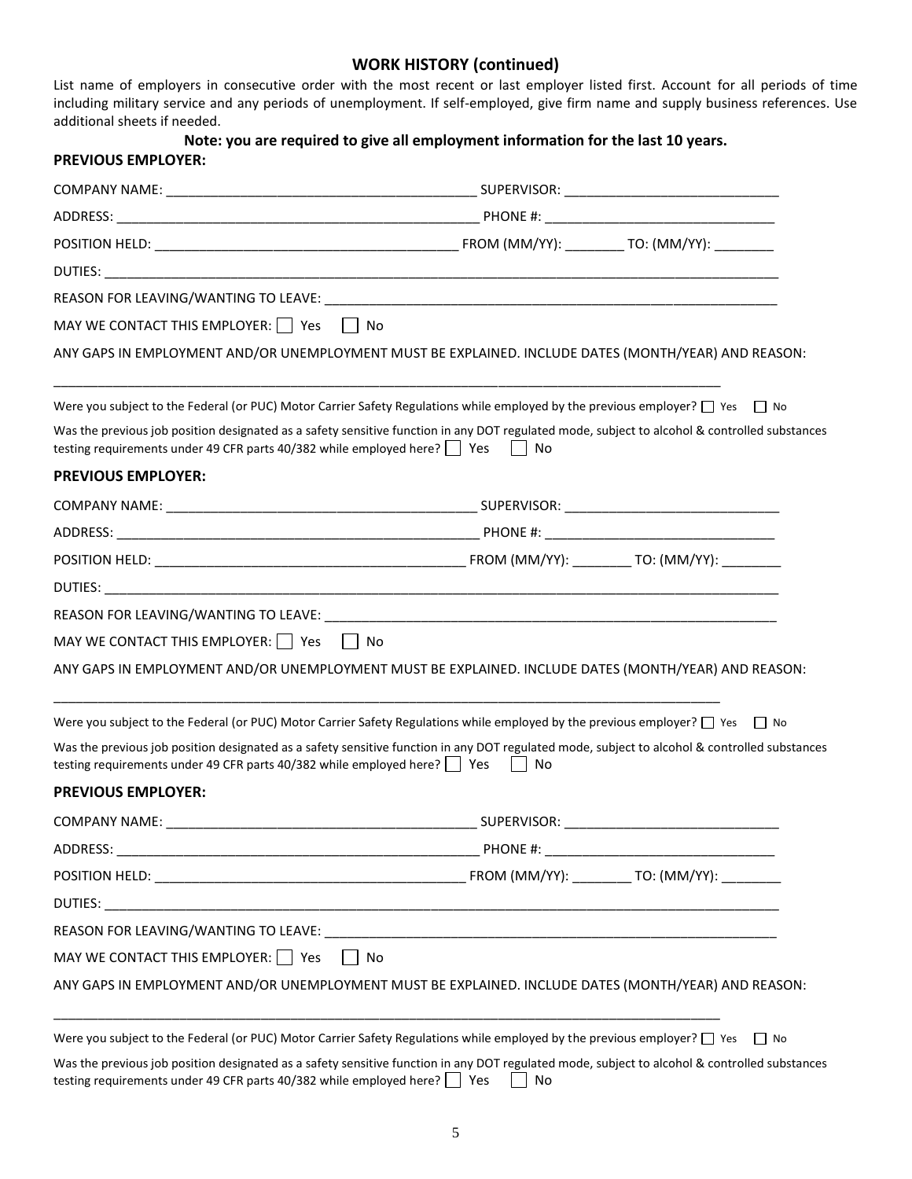### **WORK HISTORY (continued)**

List name of employers in consecutive order with the most recent or last employer listed first. Account for all periods of time including military service and any periods of unemployment. If self-employed, give firm name and supply business references. Use additional sheets if needed.

| <b>PREVIOUS EMPLOYER:</b>                                                                | Note: you are required to give all employment information for the last 10 years.                                                                                                                                                                                                         |
|------------------------------------------------------------------------------------------|------------------------------------------------------------------------------------------------------------------------------------------------------------------------------------------------------------------------------------------------------------------------------------------|
|                                                                                          |                                                                                                                                                                                                                                                                                          |
|                                                                                          |                                                                                                                                                                                                                                                                                          |
|                                                                                          |                                                                                                                                                                                                                                                                                          |
|                                                                                          |                                                                                                                                                                                                                                                                                          |
|                                                                                          |                                                                                                                                                                                                                                                                                          |
|                                                                                          |                                                                                                                                                                                                                                                                                          |
|                                                                                          | ANY GAPS IN EMPLOYMENT AND/OR UNEMPLOYMENT MUST BE EXPLAINED. INCLUDE DATES (MONTH/YEAR) AND REASON:                                                                                                                                                                                     |
| testing requirements under 49 CFR parts 40/382 while employed here?   Yes   No           | Were you subject to the Federal (or PUC) Motor Carrier Safety Regulations while employed by the previous employer? $\Box$ Yes $\Box$ No<br>Was the previous job position designated as a safety sensitive function in any DOT regulated mode, subject to alcohol & controlled substances |
|                                                                                          |                                                                                                                                                                                                                                                                                          |
| <b>PREVIOUS EMPLOYER:</b>                                                                |                                                                                                                                                                                                                                                                                          |
|                                                                                          |                                                                                                                                                                                                                                                                                          |
|                                                                                          |                                                                                                                                                                                                                                                                                          |
|                                                                                          |                                                                                                                                                                                                                                                                                          |
|                                                                                          |                                                                                                                                                                                                                                                                                          |
|                                                                                          |                                                                                                                                                                                                                                                                                          |
| MAY WE CONTACT THIS EMPLOYER: Yes No                                                     |                                                                                                                                                                                                                                                                                          |
|                                                                                          | ANY GAPS IN EMPLOYMENT AND/OR UNEMPLOYMENT MUST BE EXPLAINED. INCLUDE DATES (MONTH/YEAR) AND REASON:                                                                                                                                                                                     |
|                                                                                          | Were you subject to the Federal (or PUC) Motor Carrier Safety Regulations while employed by the previous employer? □ Yes □ No                                                                                                                                                            |
| testing requirements under 49 CFR parts 40/382 while employed here? $\Box$ Yes $\Box$ No | Was the previous job position designated as a safety sensitive function in any DOT regulated mode, subject to alcohol & controlled substances                                                                                                                                            |
| <b>PREVIOUS EMPLOYER:</b>                                                                |                                                                                                                                                                                                                                                                                          |
|                                                                                          |                                                                                                                                                                                                                                                                                          |
|                                                                                          |                                                                                                                                                                                                                                                                                          |
|                                                                                          |                                                                                                                                                                                                                                                                                          |
|                                                                                          |                                                                                                                                                                                                                                                                                          |
|                                                                                          |                                                                                                                                                                                                                                                                                          |
| MAY WE CONTACT THIS EMPLOYER: $\Box$ Yes                                                 | No                                                                                                                                                                                                                                                                                       |
|                                                                                          | ANY GAPS IN EMPLOYMENT AND/OR UNEMPLOYMENT MUST BE EXPLAINED. INCLUDE DATES (MONTH/YEAR) AND REASON:                                                                                                                                                                                     |
|                                                                                          | Were you subject to the Federal (or PUC) Motor Carrier Safety Regulations while employed by the previous employer? $\Box$ Yes $\Box$ No                                                                                                                                                  |
|                                                                                          | We the province ish position designated as a safety consitive function in any DOT regulated mode, subject to elected 8, controlled substances                                                                                                                                            |

Was the previous job position designated as a safety sensitive function in any DOT regulated mode, subject to alcohol & controlled substances testing requirements under 49 CFR parts 40/382 while employed here?  $\Box$  Yes  $\Box$  No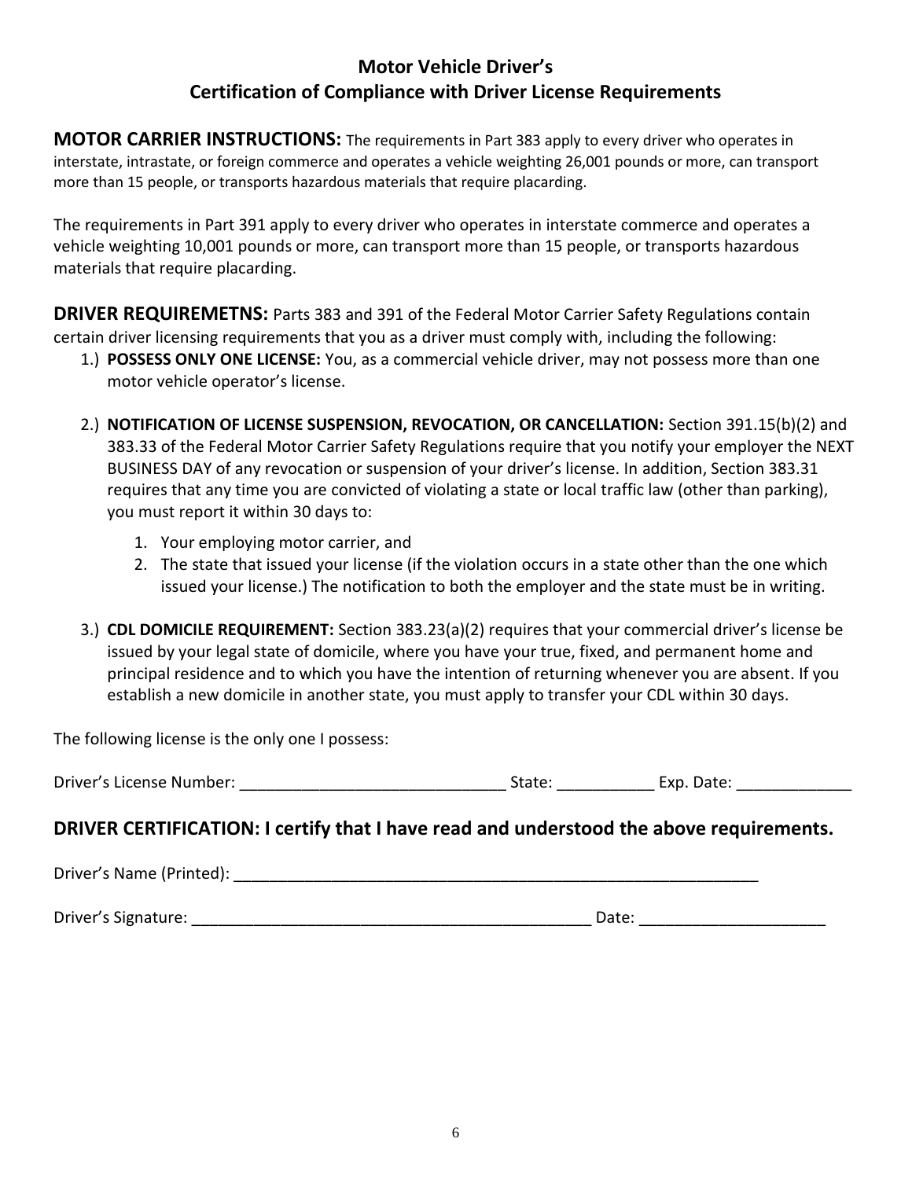# **Motor Vehicle Driver's Certification of Compliance with Driver License Requirements**

**MOTOR CARRIER INSTRUCTIONS:** The requirements in Part 383 apply to every driver who operates in interstate, intrastate, or foreign commerce and operates a vehicle weighting 26,001 pounds or more, can transport more than 15 people, or transports hazardous materials that require placarding.

The requirements in Part 391 apply to every driver who operates in interstate commerce and operates a vehicle weighting 10,001 pounds or more, can transport more than 15 people, or transports hazardous materials that require placarding.

**DRIVER REQUIREMETNS:** Parts 383 and 391 of the Federal Motor Carrier Safety Regulations contain certain driver licensing requirements that you as a driver must comply with, including the following:

- 1.) **POSSESS ONLY ONE LICENSE:** You, as a commercial vehicle driver, may not possess more than one motor vehicle operator's license.
- 2.) **NOTIFICATION OF LICENSE SUSPENSION, REVOCATION, OR CANCELLATION:** Section 391.15(b)(2) and 383.33 of the Federal Motor Carrier Safety Regulations require that you notify your employer the NEXT BUSINESS DAY of any revocation or suspension of your driver's license. In addition, Section 383.31 requires that any time you are convicted of violating a state or local traffic law (other than parking), you must report it within 30 days to:
	- 1. Your employing motor carrier, and
	- 2. The state that issued your license (if the violation occurs in a state other than the one which issued your license.) The notification to both the employer and the state must be in writing.
- 3.) **CDL DOMICILE REQUIREMENT:** Section 383.23(a)(2) requires that your commercial driver's license be issued by your legal state of domicile, where you have your true, fixed, and permanent home and principal residence and to which you have the intention of returning whenever you are absent. If you establish a new domicile in another state, you must apply to transfer your CDL within 30 days.

The following license is the only one I possess:

# **DRIVER CERTIFICATION: I certify that I have read and understood the above requirements.**

Driver's Name (Printed): **Example 2018** 

Driver's Signature: \_\_\_\_\_\_\_\_\_\_\_\_\_\_\_\_\_\_\_\_\_\_\_\_\_\_\_\_\_\_\_\_\_\_\_\_\_\_\_\_\_\_\_\_\_ Date: \_\_\_\_\_\_\_\_\_\_\_\_\_\_\_\_\_\_\_\_\_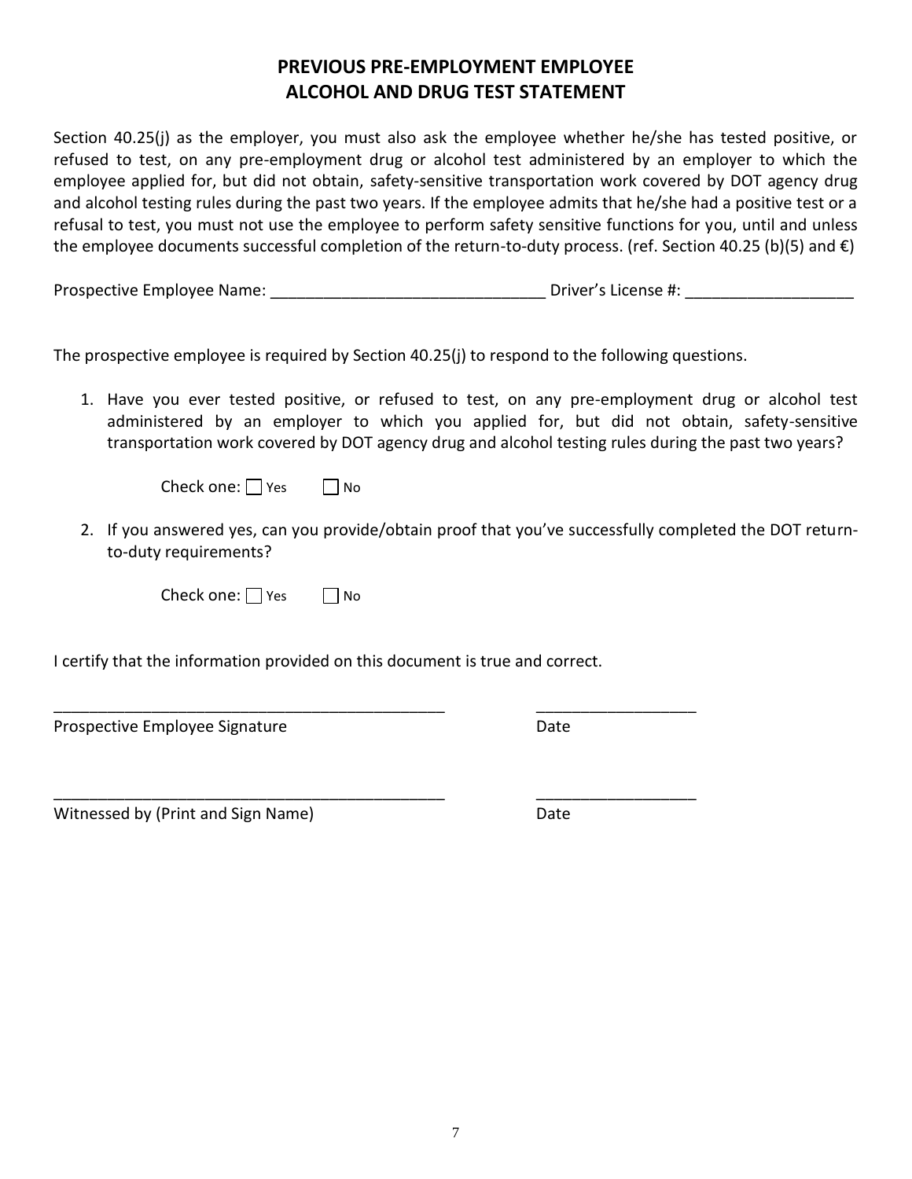# **PREVIOUS PRE-EMPLOYMENT EMPLOYEE ALCOHOL AND DRUG TEST STATEMENT**

Section 40.25(j) as the employer, you must also ask the employee whether he/she has tested positive, or refused to test, on any pre-employment drug or alcohol test administered by an employer to which the employee applied for, but did not obtain, safety-sensitive transportation work covered by DOT agency drug and alcohol testing rules during the past two years. If the employee admits that he/she had a positive test or a refusal to test, you must not use the employee to perform safety sensitive functions for you, until and unless the employee documents successful completion of the return-to-duty process. (ref. Section 40.25 (b)(5) and €)

Prospective Employee Name:  $\blacksquare$ 

The prospective employee is required by Section 40.25(j) to respond to the following questions.

1. Have you ever tested positive, or refused to test, on any pre-employment drug or alcohol test administered by an employer to which you applied for, but did not obtain, safety-sensitive transportation work covered by DOT agency drug and alcohol testing rules during the past two years?

| Check one: $\Box$ Yes |  | $\Box$ No |
|-----------------------|--|-----------|
|-----------------------|--|-----------|

2. If you answered yes, can you provide/obtain proof that you've successfully completed the DOT returnto-duty requirements?

Check one:  $\Box$  Yes  $\Box$  No

I certify that the information provided on this document is true and correct.

\_\_\_\_\_\_\_\_\_\_\_\_\_\_\_\_\_\_\_\_\_\_\_\_\_\_\_\_\_\_\_\_\_\_\_\_\_\_\_\_\_\_\_\_ \_\_\_\_\_\_\_\_\_\_\_\_\_\_\_\_\_\_

\_\_\_\_\_\_\_\_\_\_\_\_\_\_\_\_\_\_\_\_\_\_\_\_\_\_\_\_\_\_\_\_\_\_\_\_\_\_\_\_\_\_\_\_ \_\_\_\_\_\_\_\_\_\_\_\_\_\_\_\_\_\_

Prospective Employee Signature Date Date

Witnessed by (Print and Sign Name) Date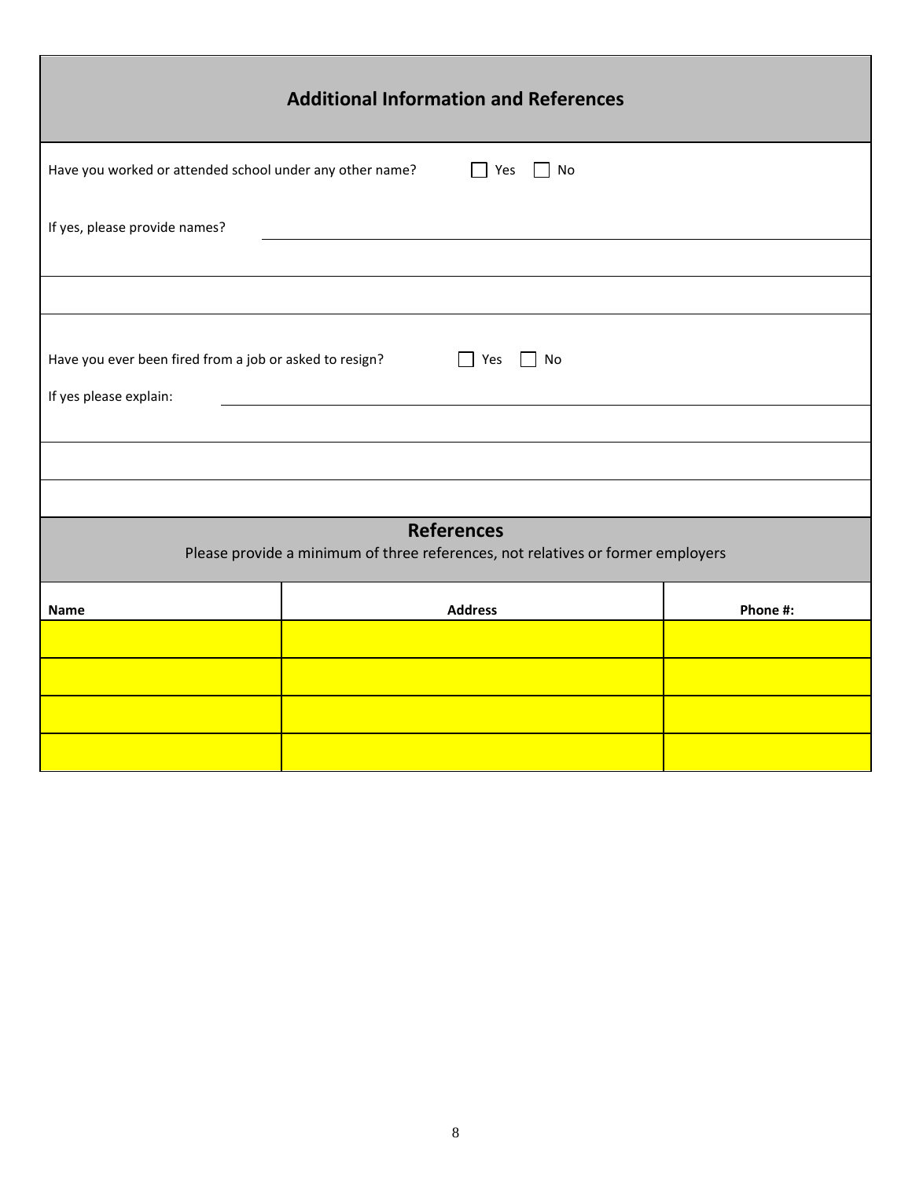| <b>Additional Information and References</b>                                                                 |                |          |  |  |
|--------------------------------------------------------------------------------------------------------------|----------------|----------|--|--|
| Have you worked or attended school under any other name?                                                     | Yes<br>No      |          |  |  |
| If yes, please provide names?                                                                                |                |          |  |  |
|                                                                                                              |                |          |  |  |
| Have you ever been fired from a job or asked to resign?<br>$\Box$ Yes<br>$\Box$ No<br>If yes please explain: |                |          |  |  |
|                                                                                                              |                |          |  |  |
|                                                                                                              |                |          |  |  |
| <b>References</b><br>Please provide a minimum of three references, not relatives or former employers         |                |          |  |  |
| <b>Name</b>                                                                                                  | <b>Address</b> | Phone #: |  |  |
|                                                                                                              |                |          |  |  |
|                                                                                                              |                |          |  |  |
|                                                                                                              |                |          |  |  |
|                                                                                                              |                |          |  |  |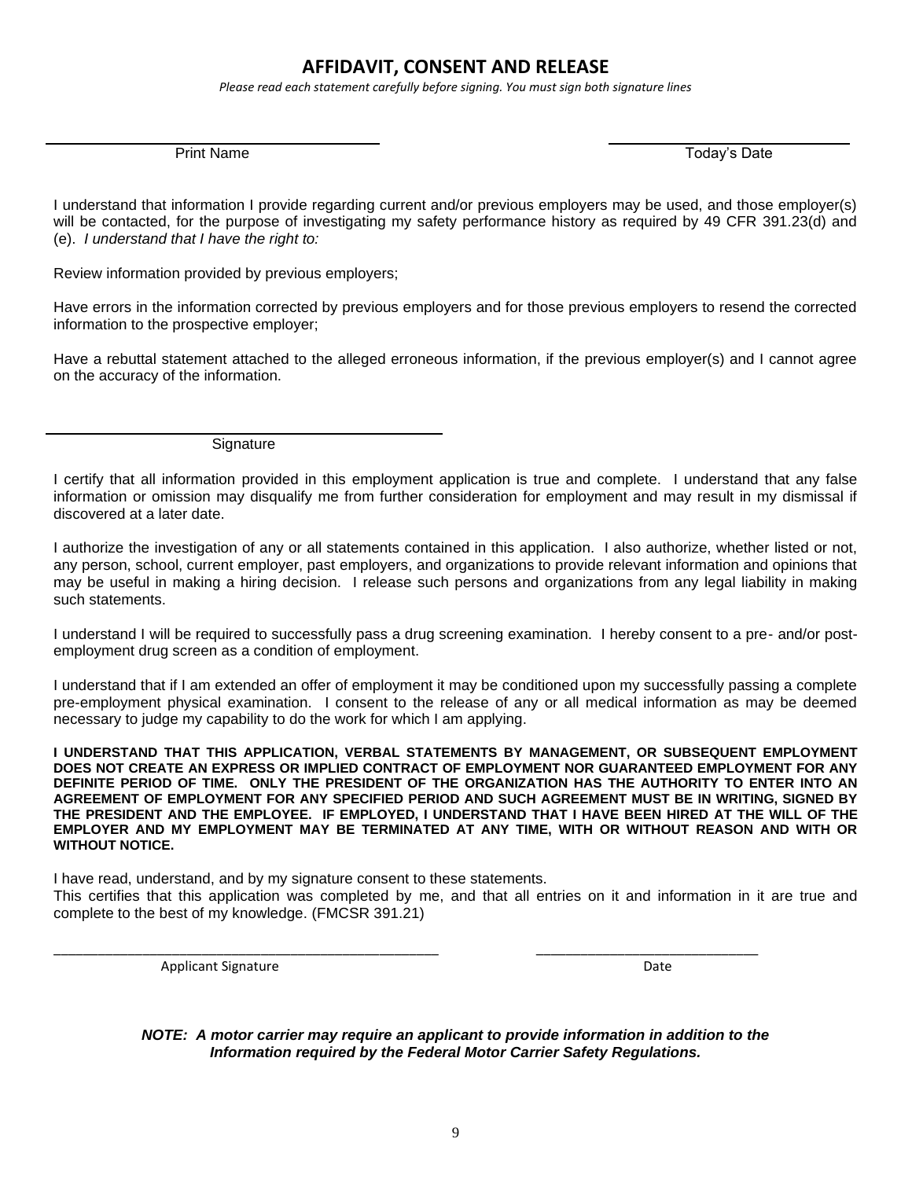## **AFFIDAVIT, CONSENT AND RELEASE**

*Please read each statement carefully before signing. You must sign both signature lines*

Print Name Today's Date Name Today's Date New York 2014

I understand that information I provide regarding current and/or previous employers may be used, and those employer(s) will be contacted, for the purpose of investigating my safety performance history as required by 49 CFR 391.23(d) and (e). *I understand that I have the right to:*

Review information provided by previous employers;

Have errors in the information corrected by previous employers and for those previous employers to resend the corrected information to the prospective employer;

Have a rebuttal statement attached to the alleged erroneous information, if the previous employer(s) and I cannot agree on the accuracy of the information.

**Signature** 

I certify that all information provided in this employment application is true and complete. I understand that any false information or omission may disqualify me from further consideration for employment and may result in my dismissal if discovered at a later date.

I authorize the investigation of any or all statements contained in this application. I also authorize, whether listed or not, any person, school, current employer, past employers, and organizations to provide relevant information and opinions that may be useful in making a hiring decision. I release such persons and organizations from any legal liability in making such statements.

I understand I will be required to successfully pass a drug screening examination. I hereby consent to a pre- and/or postemployment drug screen as a condition of employment.

I understand that if I am extended an offer of employment it may be conditioned upon my successfully passing a complete pre-employment physical examination. I consent to the release of any or all medical information as may be deemed necessary to judge my capability to do the work for which I am applying.

**I UNDERSTAND THAT THIS APPLICATION, VERBAL STATEMENTS BY MANAGEMENT, OR SUBSEQUENT EMPLOYMENT DOES NOT CREATE AN EXPRESS OR IMPLIED CONTRACT OF EMPLOYMENT NOR GUARANTEED EMPLOYMENT FOR ANY DEFINITE PERIOD OF TIME. ONLY THE PRESIDENT OF THE ORGANIZATION HAS THE AUTHORITY TO ENTER INTO AN AGREEMENT OF EMPLOYMENT FOR ANY SPECIFIED PERIOD AND SUCH AGREEMENT MUST BE IN WRITING, SIGNED BY THE PRESIDENT AND THE EMPLOYEE. IF EMPLOYED, I UNDERSTAND THAT I HAVE BEEN HIRED AT THE WILL OF THE EMPLOYER AND MY EMPLOYMENT MAY BE TERMINATED AT ANY TIME, WITH OR WITHOUT REASON AND WITH OR WITHOUT NOTICE.**

I have read, understand, and by my signature consent to these statements. This certifies that this application was completed by me, and that all entries on it and information in it are true and complete to the best of my knowledge. (FMCSR 391.21)

\_\_\_\_\_\_\_\_\_\_\_\_\_\_\_\_\_\_\_\_\_\_\_\_\_\_\_\_\_\_\_\_\_\_\_\_\_\_\_\_\_\_\_\_\_\_\_\_\_\_\_\_ \_\_\_\_\_\_\_\_\_\_\_\_\_\_\_\_\_\_\_\_\_\_\_\_\_\_\_\_\_\_

Applicant Signature Date Applicant Signature Date Applicant Signature Date Date

*NOTE: A motor carrier may require an applicant to provide information in addition to the Information required by the Federal Motor Carrier Safety Regulations.*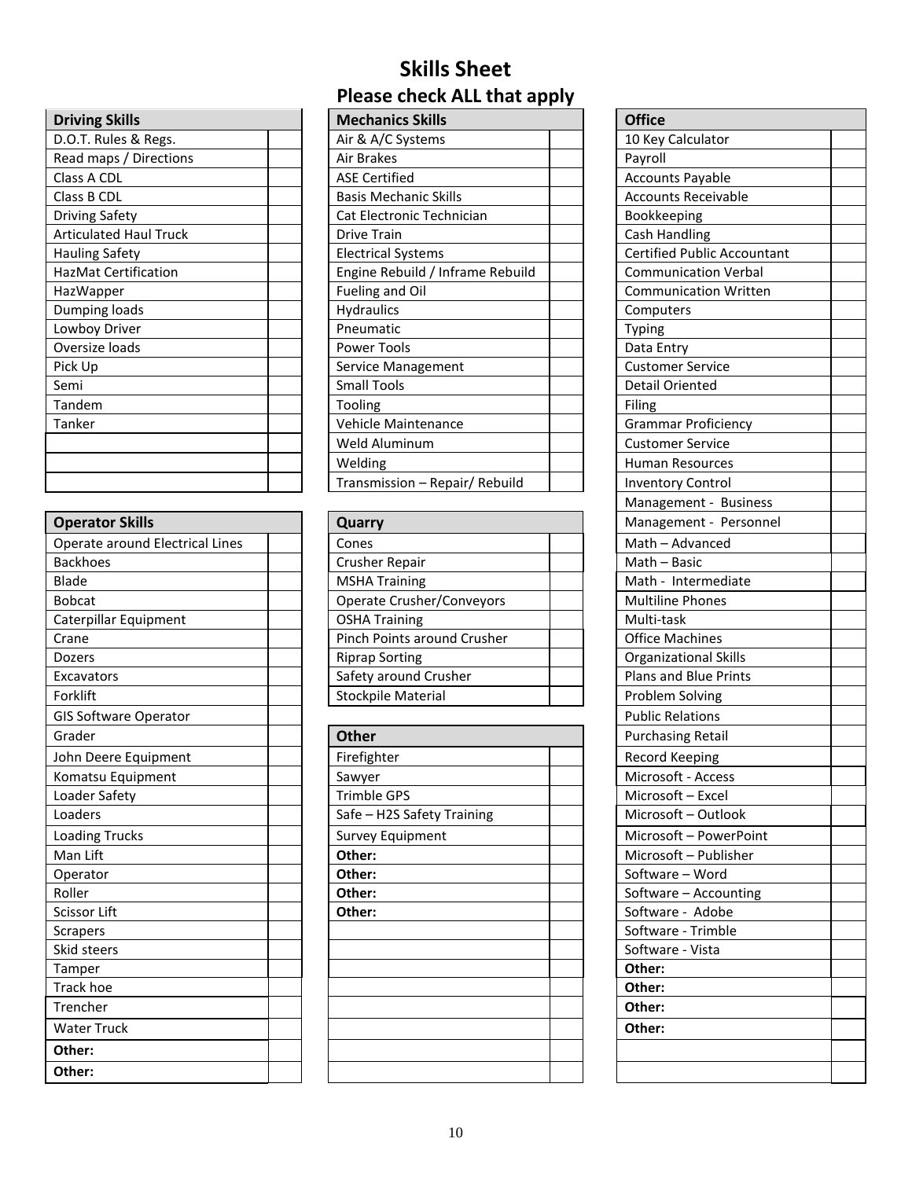| <b>Driving Skills</b>         |  |
|-------------------------------|--|
| D.O.T. Rules & Regs.          |  |
| Read maps / Directions        |  |
| Class A CDL                   |  |
| Class B CDL                   |  |
| Driving Safety                |  |
| <b>Articulated Haul Truck</b> |  |
| Hauling Safety                |  |
| <b>HazMat Certification</b>   |  |
| HazWapper                     |  |
| Dumping loads                 |  |
| Lowboy Driver                 |  |
| Oversize loads                |  |
| Pick Up                       |  |
| Semi                          |  |
| Tandem                        |  |
| Tanker                        |  |
|                               |  |
|                               |  |
|                               |  |

| <b>Operator Skills</b>          | Quarry                      | Management -            |
|---------------------------------|-----------------------------|-------------------------|
| Operate around Electrical Lines | Cones                       | Math - Advance          |
| <b>Backhoes</b>                 | <b>Crusher Repair</b>       | Math - Basic            |
| Blade                           | <b>MSHA Training</b>        | Math - Interme          |
| <b>Bobcat</b>                   | Operate Crusher/Conveyors   | <b>Multiline Phone</b>  |
| Caterpillar Equipment           | <b>OSHA Training</b>        | Multi-task              |
| Crane                           | Pinch Points around Crusher | <b>Office Machines</b>  |
| Dozers                          | <b>Riprap Sorting</b>       | Organizational 9        |
| Excavators                      | Safety around Crusher       | Plans and Blue I        |
| Forklift                        | <b>Stockpile Material</b>   | Problem Solving         |
| <b>GIS Software Operator</b>    |                             | <b>Public Relations</b> |
| Grader                          | <b>Other</b>                | <b>Purchasing Reta</b>  |
| John Deere Equipment            | Firefighter                 | <b>Record Keeping</b>   |
| Komatsu Equipment               | Sawyer                      | Microsoft - Acce        |
| Loader Safety                   | <b>Trimble GPS</b>          | Microsoft - Exce        |
| Loaders                         | Safe - H2S Safety Training  | Microsoft-Out           |
| <b>Loading Trucks</b>           | <b>Survey Equipment</b>     | Microsoft - Pov         |
| Man Lift                        | Other:                      | Microsoft - Pub         |
| Operator                        | Other:                      | Software - Wor          |
| Roller                          | Other:                      | Software - Accc         |
| <b>Scissor Lift</b>             | Other:                      | Software - Ado          |
| Scrapers                        |                             | Software - Trim         |
| Skid steers                     |                             | Software - Vista        |
| Tamper                          |                             | Other:                  |
| <b>Track hoe</b>                |                             | Other:                  |
| Trencher                        |                             | Other:                  |
| <b>Water Truck</b>              |                             | Other:                  |
| Other:                          |                             |                         |
| Other:                          |                             |                         |

# **Skills Sheet Please check ALL that apply**

| <b>Driving Skills</b>         | <b>Mechanics Skills</b>          | <b>Office</b>                      |
|-------------------------------|----------------------------------|------------------------------------|
| D.O.T. Rules & Regs.          | Air & A/C Systems                | 10 Key Calculator                  |
|                               |                                  |                                    |
| Read maps / Directions        | Air Brakes                       | Payroll                            |
| Class A CDL                   | <b>ASE Certified</b>             | <b>Accounts Payable</b>            |
| Class B CDL                   | <b>Basis Mechanic Skills</b>     | <b>Accounts Receivable</b>         |
| Driving Safety                | Cat Electronic Technician        | Bookkeeping                        |
| <b>Articulated Haul Truck</b> | <b>Drive Train</b>               | Cash Handling                      |
| <b>Hauling Safety</b>         | <b>Electrical Systems</b>        | <b>Certified Public Accountant</b> |
| <b>HazMat Certification</b>   | Engine Rebuild / Inframe Rebuild | <b>Communication Verbal</b>        |
| <b>HazWapper</b>              | Fueling and Oil                  | <b>Communication Written</b>       |
| Dumping loads                 | Hydraulics                       | Computers                          |
| Lowboy Driver                 | Pneumatic                        | <b>Typing</b>                      |
| Oversize loads                | Power Tools                      | Data Entry                         |
| Pick Up                       | Service Management               | <b>Customer Service</b>            |
| Semi                          | <b>Small Tools</b>               | <b>Detail Oriented</b>             |
| Tandem                        | Tooling                          | Filing                             |
| Tanker                        | Vehicle Maintenance              | <b>Grammar Proficiency</b>         |
|                               | Weld Aluminum                    | <b>Customer Service</b>            |
|                               | Welding                          | <b>Human Resources</b>             |
|                               | Transmission - Repair/ Rebuild   | <b>Inventory Control</b>           |
|                               |                                  |                                    |

| <b>Operator Skills</b>                   | Quarry                                               | Management - Personnel       |
|------------------------------------------|------------------------------------------------------|------------------------------|
| Operate around Electrical Lines<br>Cones |                                                      | Math - Advanced              |
| <b>Backhoes</b>                          | Crusher Repair                                       | Math – Basic                 |
| Blade                                    | <b>MSHA Training</b>                                 | Math - Intermediate          |
| Bobcat                                   | Operate Crusher/Conveyors<br><b>Multiline Phones</b> |                              |
| Caterpillar Equipment                    | <b>OSHA Training</b>                                 | Multi-task                   |
| Crane                                    | Pinch Points around Crusher                          | <b>Office Machines</b>       |
| <b>Dozers</b>                            | <b>Riprap Sorting</b>                                | <b>Organizational Skills</b> |
| <b>Excavators</b>                        | Safety around Crusher                                | Plans and Blue Prints        |
| Forklift                                 | <b>Stockpile Material</b>                            | Problem Solving              |

| Grader                | <b>Other</b>               | <b>Purchasing Retail</b> |
|-----------------------|----------------------------|--------------------------|
| John Deere Equipment  | Firefighter                | <b>Record Keeping</b>    |
| Komatsu Equipment     | Sawyer                     | Microsoft - Access       |
| Loader Safety         | <b>Trimble GPS</b>         | Microsoft - Excel        |
| Loaders               | Safe - H2S Safety Training | Microsoft - Outlook      |
| <b>Loading Trucks</b> | <b>Survey Equipment</b>    | Microsoft - PowerPoint   |
| Man Lift              | Other:                     | Microsoft - Publisher    |
| Operator              | Other:                     | Software - Word          |
| Roller                | Other:                     | Software - Accounting    |
| Scissor Lift          | Other:                     | Software - Adobe         |
| <b>Scrapers</b>       |                            | Software - Trimble       |
| Skid steers           |                            | Software - Vista         |
| Tamper                |                            | Other:                   |
| Track hoe             |                            | Other:                   |
| Trencher              |                            | Other:                   |
| <b>Water Truck</b>    |                            | Other:                   |
| Other:                |                            |                          |
| Other:                |                            |                          |

| <b>Office</b>                |  |
|------------------------------|--|
| 10 Key Calculator            |  |
| Payroll                      |  |
| <b>Accounts Payable</b>      |  |
| <b>Accounts Receivable</b>   |  |
| Bookkeeping                  |  |
| <b>Cash Handling</b>         |  |
| Certified Public Accountant  |  |
| <b>Communication Verbal</b>  |  |
| <b>Communication Written</b> |  |
| Computers                    |  |
| Typing                       |  |
| Data Entry                   |  |
| <b>Customer Service</b>      |  |
| Detail Oriented              |  |
| Filing                       |  |
| <b>Grammar Proficiency</b>   |  |
| <b>Customer Service</b>      |  |
| <b>Human Resources</b>       |  |
| <b>Inventory Control</b>     |  |
| Management - Business        |  |
| Management - Personnel       |  |
| Math - Advanced              |  |
| Math - Basic                 |  |
| Math - Intermediate          |  |
| <b>Multiline Phones</b>      |  |
| Multi-task                   |  |
| <b>Office Machines</b>       |  |
| <b>Organizational Skills</b> |  |
| Plans and Blue Prints        |  |
| <b>Problem Solving</b>       |  |
| <b>Public Relations</b>      |  |
| <b>Purchasing Retail</b>     |  |
| <b>Record Keeping</b>        |  |
| Microsoft - Access           |  |
| Microsoft - Excel            |  |
| Microsoft - Outlook          |  |
| Microsoft - PowerPoint       |  |
| Microsoft - Publisher        |  |
| Software - Word              |  |
| Software - Accounting        |  |
| Software - Adobe             |  |
| Software - Trimble           |  |
| Software - Vista             |  |
| Other:                       |  |
| Other:                       |  |
| Other:                       |  |
| Other:                       |  |
|                              |  |
|                              |  |
|                              |  |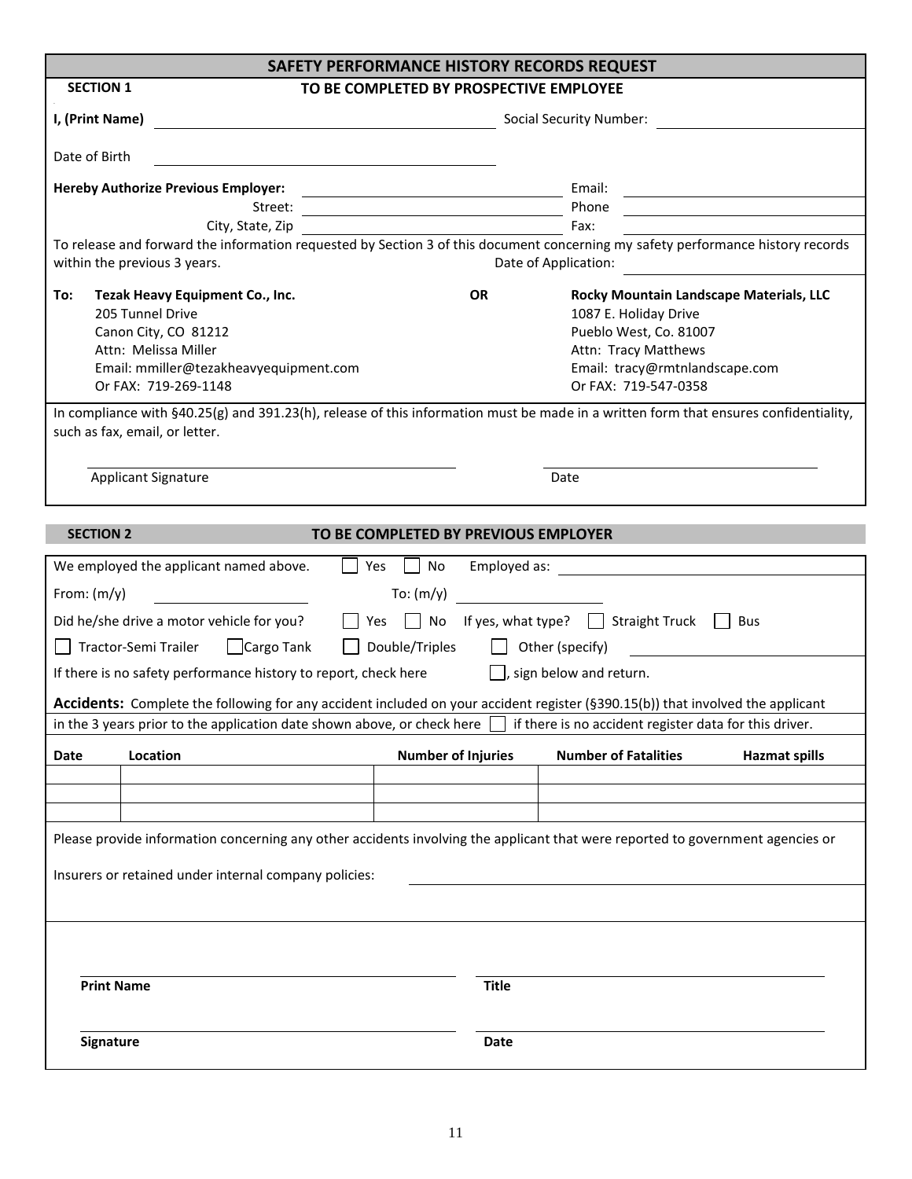| SAFETY PERFORMANCE HISTORY RECORDS REQUEST                                                                                                                                                           |                                                                                 |                                                                                                                                                                                                                                                 |                      |
|------------------------------------------------------------------------------------------------------------------------------------------------------------------------------------------------------|---------------------------------------------------------------------------------|-------------------------------------------------------------------------------------------------------------------------------------------------------------------------------------------------------------------------------------------------|----------------------|
| <b>SECTION 1</b>                                                                                                                                                                                     | TO BE COMPLETED BY PROSPECTIVE EMPLOYEE                                         |                                                                                                                                                                                                                                                 |                      |
| I, (Print Name)<br><b>Marshall Social Security Number:</b> Social Security Number:                                                                                                                   |                                                                                 |                                                                                                                                                                                                                                                 |                      |
| Date of Birth                                                                                                                                                                                        |                                                                                 |                                                                                                                                                                                                                                                 |                      |
| <b>Hereby Authorize Previous Employer:</b>                                                                                                                                                           |                                                                                 | Email:                                                                                                                                                                                                                                          |                      |
| Street:                                                                                                                                                                                              | the contract of the contract of the contract of the contract of the contract of | Phone                                                                                                                                                                                                                                           |                      |
| City, State, Zip                                                                                                                                                                                     |                                                                                 | Fax:                                                                                                                                                                                                                                            |                      |
| To release and forward the information requested by Section 3 of this document concerning my safety performance history records<br>within the previous 3 years.                                      |                                                                                 | Date of Application:                                                                                                                                                                                                                            |                      |
| Tezak Heavy Equipment Co., Inc.<br>To:                                                                                                                                                               | <b>OR</b>                                                                       | Rocky Mountain Landscape Materials, LLC                                                                                                                                                                                                         |                      |
| 205 Tunnel Drive                                                                                                                                                                                     |                                                                                 | 1087 E. Holiday Drive                                                                                                                                                                                                                           |                      |
| Canon City, CO 81212                                                                                                                                                                                 |                                                                                 | Pueblo West, Co. 81007                                                                                                                                                                                                                          |                      |
| Attn: Melissa Miller                                                                                                                                                                                 |                                                                                 | Attn: Tracy Matthews                                                                                                                                                                                                                            |                      |
| Email: mmiller@tezakheavyequipment.com                                                                                                                                                               |                                                                                 | Email: tracy@rmtnlandscape.com                                                                                                                                                                                                                  |                      |
| Or FAX: 719-269-1148                                                                                                                                                                                 |                                                                                 | Or FAX: 719-547-0358                                                                                                                                                                                                                            |                      |
| In compliance with §40.25(g) and 391.23(h), release of this information must be made in a written form that ensures confidentiality,<br>such as fax, email, or letter.<br><b>Applicant Signature</b> |                                                                                 | Date                                                                                                                                                                                                                                            |                      |
|                                                                                                                                                                                                      |                                                                                 |                                                                                                                                                                                                                                                 |                      |
|                                                                                                                                                                                                      |                                                                                 |                                                                                                                                                                                                                                                 |                      |
| <b>SECTION 2</b>                                                                                                                                                                                     | TO BE COMPLETED BY PREVIOUS EMPLOYER                                            |                                                                                                                                                                                                                                                 |                      |
| We employed the applicant named above.                                                                                                                                                               | Yes     No                                                                      |                                                                                                                                                                                                                                                 |                      |
| From: $(m/y)$                                                                                                                                                                                        | To: $(m/y)$                                                                     |                                                                                                                                                                                                                                                 |                      |
|                                                                                                                                                                                                      |                                                                                 |                                                                                                                                                                                                                                                 |                      |
| Did he/she drive a motor vehicle for you?                                                                                                                                                            |                                                                                 | ■ Yes ■ No If yes, what type? ■ Straight Truck ■ Bus                                                                                                                                                                                            |                      |
| Tractor-Semi Trailer<br>Cargo Tank                                                                                                                                                                   | $\Box$ Double/Triples $\Box$ Other (specify)                                    | $\mathcal{L}(\mathcal{L}(\mathcal{L}))$ . The set of the set of the set of the set of the set of the set of the set of the set of the set of the set of the set of the set of the set of the set of the set of the set of the set of the set of |                      |
| If there is no safety performance history to report, check here $\Box$ , sign below and return.                                                                                                      |                                                                                 |                                                                                                                                                                                                                                                 |                      |
| Accidents: Complete the following for any accident included on your accident register (§390.15(b)) that involved the applicant                                                                       |                                                                                 |                                                                                                                                                                                                                                                 |                      |
| in the 3 years prior to the application date shown above, or check here $\Box$ if there is no accident register data for this driver.                                                                |                                                                                 |                                                                                                                                                                                                                                                 |                      |
| Location<br>Date                                                                                                                                                                                     | <b>Number of Injuries</b>                                                       | <b>Number of Fatalities</b>                                                                                                                                                                                                                     | <b>Hazmat spills</b> |
|                                                                                                                                                                                                      |                                                                                 |                                                                                                                                                                                                                                                 |                      |
|                                                                                                                                                                                                      |                                                                                 |                                                                                                                                                                                                                                                 |                      |
|                                                                                                                                                                                                      |                                                                                 |                                                                                                                                                                                                                                                 |                      |
| Please provide information concerning any other accidents involving the applicant that were reported to government agencies or                                                                       |                                                                                 |                                                                                                                                                                                                                                                 |                      |
|                                                                                                                                                                                                      |                                                                                 |                                                                                                                                                                                                                                                 |                      |
| Insurers or retained under internal company policies:                                                                                                                                                |                                                                                 |                                                                                                                                                                                                                                                 |                      |
|                                                                                                                                                                                                      |                                                                                 |                                                                                                                                                                                                                                                 |                      |
|                                                                                                                                                                                                      |                                                                                 |                                                                                                                                                                                                                                                 |                      |
|                                                                                                                                                                                                      |                                                                                 |                                                                                                                                                                                                                                                 |                      |
|                                                                                                                                                                                                      |                                                                                 |                                                                                                                                                                                                                                                 |                      |
| <b>Print Name</b>                                                                                                                                                                                    | <b>Title</b>                                                                    |                                                                                                                                                                                                                                                 |                      |
|                                                                                                                                                                                                      |                                                                                 |                                                                                                                                                                                                                                                 |                      |
| Signature                                                                                                                                                                                            | <b>Date</b>                                                                     |                                                                                                                                                                                                                                                 |                      |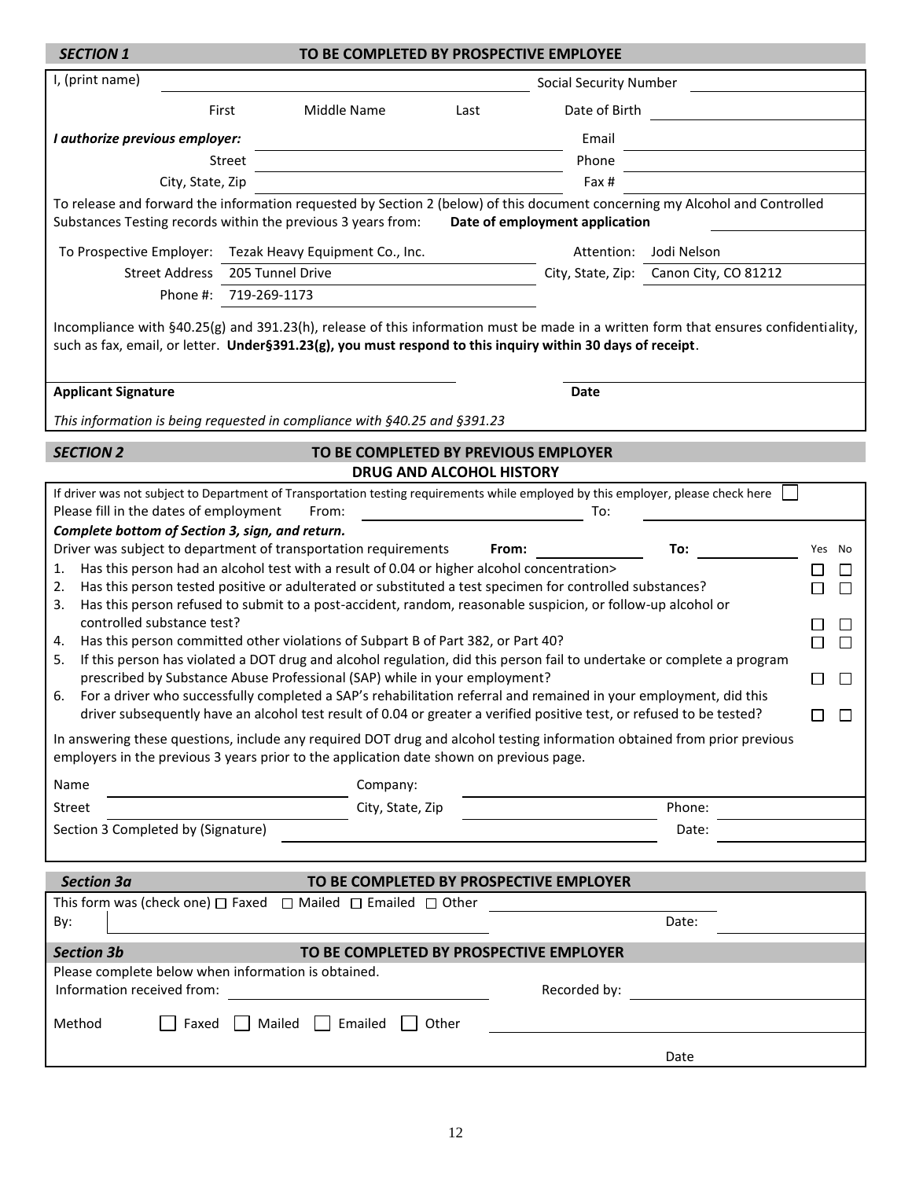| <b>SECTION 1</b>                                                                                                                                                                                                                              |                                                                                            | TO BE COMPLETED BY PROSPECTIVE EMPLOYEE                                                                                                                       |                                                                                                                                     |
|-----------------------------------------------------------------------------------------------------------------------------------------------------------------------------------------------------------------------------------------------|--------------------------------------------------------------------------------------------|---------------------------------------------------------------------------------------------------------------------------------------------------------------|-------------------------------------------------------------------------------------------------------------------------------------|
| I, (print name)                                                                                                                                                                                                                               |                                                                                            | <b>Social Security Number</b>                                                                                                                                 |                                                                                                                                     |
| First                                                                                                                                                                                                                                         | Middle Name                                                                                | Date of Birth<br>Last                                                                                                                                         |                                                                                                                                     |
| I authorize previous employer:                                                                                                                                                                                                                |                                                                                            | Email                                                                                                                                                         |                                                                                                                                     |
| Street                                                                                                                                                                                                                                        |                                                                                            | Phone                                                                                                                                                         |                                                                                                                                     |
| City, State, Zip                                                                                                                                                                                                                              |                                                                                            | Fax #                                                                                                                                                         |                                                                                                                                     |
| Substances Testing records within the previous 3 years from:                                                                                                                                                                                  |                                                                                            | To release and forward the information requested by Section 2 (below) of this document concerning my Alcohol and Controlled<br>Date of employment application |                                                                                                                                     |
| To Prospective Employer: Tezak Heavy Equipment Co., Inc.                                                                                                                                                                                      |                                                                                            | Attention:                                                                                                                                                    | Jodi Nelson                                                                                                                         |
| <b>Street Address</b>                                                                                                                                                                                                                         | 205 Tunnel Drive                                                                           |                                                                                                                                                               | City, State, Zip: Canon City, CO 81212                                                                                              |
| Phone #: 719-269-1173                                                                                                                                                                                                                         |                                                                                            |                                                                                                                                                               |                                                                                                                                     |
|                                                                                                                                                                                                                                               |                                                                                            | such as fax, email, or letter. Under§391.23(g), you must respond to this inquiry within 30 days of receipt.                                                   | Incompliance with §40.25(g) and 391.23(h), release of this information must be made in a written form that ensures confidentiality, |
| <b>Applicant Signature</b>                                                                                                                                                                                                                    |                                                                                            | Date                                                                                                                                                          |                                                                                                                                     |
|                                                                                                                                                                                                                                               | This information is being requested in compliance with §40.25 and §391.23                  |                                                                                                                                                               |                                                                                                                                     |
| <b>SECTION 2</b>                                                                                                                                                                                                                              |                                                                                            | TO BE COMPLETED BY PREVIOUS EMPLOYER                                                                                                                          |                                                                                                                                     |
|                                                                                                                                                                                                                                               |                                                                                            | <b>DRUG AND ALCOHOL HISTORY</b>                                                                                                                               |                                                                                                                                     |
| If driver was not subject to Department of Transportation testing requirements while employed by this employer, please check here<br>Please fill in the dates of employment<br>From:<br>To:                                                   |                                                                                            |                                                                                                                                                               |                                                                                                                                     |
| Complete bottom of Section 3, sign, and return.                                                                                                                                                                                               | Driver was subject to department of transportation requirements                            | From:                                                                                                                                                         | To:<br>Yes No                                                                                                                       |
| 1.                                                                                                                                                                                                                                            | Has this person had an alcohol test with a result of 0.04 or higher alcohol concentration> |                                                                                                                                                               |                                                                                                                                     |
| Has this person tested positive or adulterated or substituted a test specimen for controlled substances?<br>2.<br>$\mathsf{L}$<br>Has this person refused to submit to a post-accident, random, reasonable suspicion, or follow-up alcohol or |                                                                                            |                                                                                                                                                               |                                                                                                                                     |
| 3.<br>controlled substance test?                                                                                                                                                                                                              |                                                                                            |                                                                                                                                                               |                                                                                                                                     |
| 4.                                                                                                                                                                                                                                            | Has this person committed other violations of Subpart B of Part 382, or Part 40?           |                                                                                                                                                               | П<br>П                                                                                                                              |
| If this person has violated a DOT drug and alcohol regulation, did this person fail to undertake or complete a program<br>5.                                                                                                                  |                                                                                            |                                                                                                                                                               |                                                                                                                                     |
| prescribed by Substance Abuse Professional (SAP) while in your employment?<br>П<br>$\mathbb{R}^n$<br>For a driver who successfully completed a SAP's rehabilitation referral and remained in your employment, did this<br>6.                  |                                                                                            |                                                                                                                                                               |                                                                                                                                     |
|                                                                                                                                                                                                                                               |                                                                                            | driver subsequently have an alcohol test result of 0.04 or greater a verified positive test, or refused to be tested?                                         | $\Box$<br>$\Box$                                                                                                                    |
|                                                                                                                                                                                                                                               |                                                                                            | In answering these questions, include any required DOT drug and alcohol testing information obtained from prior previous                                      |                                                                                                                                     |
|                                                                                                                                                                                                                                               | employers in the previous 3 years prior to the application date shown on previous page.    |                                                                                                                                                               |                                                                                                                                     |
| Name                                                                                                                                                                                                                                          | Company:                                                                                   |                                                                                                                                                               |                                                                                                                                     |
| Street                                                                                                                                                                                                                                        | City, State, Zip                                                                           |                                                                                                                                                               | Phone:                                                                                                                              |
| Section 3 Completed by (Signature)                                                                                                                                                                                                            |                                                                                            |                                                                                                                                                               | Date:                                                                                                                               |
|                                                                                                                                                                                                                                               |                                                                                            |                                                                                                                                                               |                                                                                                                                     |
| <b>Section 3a</b>                                                                                                                                                                                                                             | This form was (check one) $\Box$ Faxed $\Box$ Mailed $\Box$ Emailed $\Box$ Other           | TO BE COMPLETED BY PROSPECTIVE EMPLOYER                                                                                                                       |                                                                                                                                     |
| By:                                                                                                                                                                                                                                           |                                                                                            |                                                                                                                                                               | Date:                                                                                                                               |
| <b>Section 3b</b>                                                                                                                                                                                                                             |                                                                                            | TO BE COMPLETED BY PROSPECTIVE EMPLOYER                                                                                                                       |                                                                                                                                     |
| Please complete below when information is obtained.                                                                                                                                                                                           |                                                                                            |                                                                                                                                                               |                                                                                                                                     |
| Information received from:                                                                                                                                                                                                                    |                                                                                            | Recorded by:                                                                                                                                                  |                                                                                                                                     |
| Method<br>Faxed                                                                                                                                                                                                                               | Mailed<br>Emailed                                                                          | Other                                                                                                                                                         |                                                                                                                                     |
|                                                                                                                                                                                                                                               |                                                                                            |                                                                                                                                                               | Date                                                                                                                                |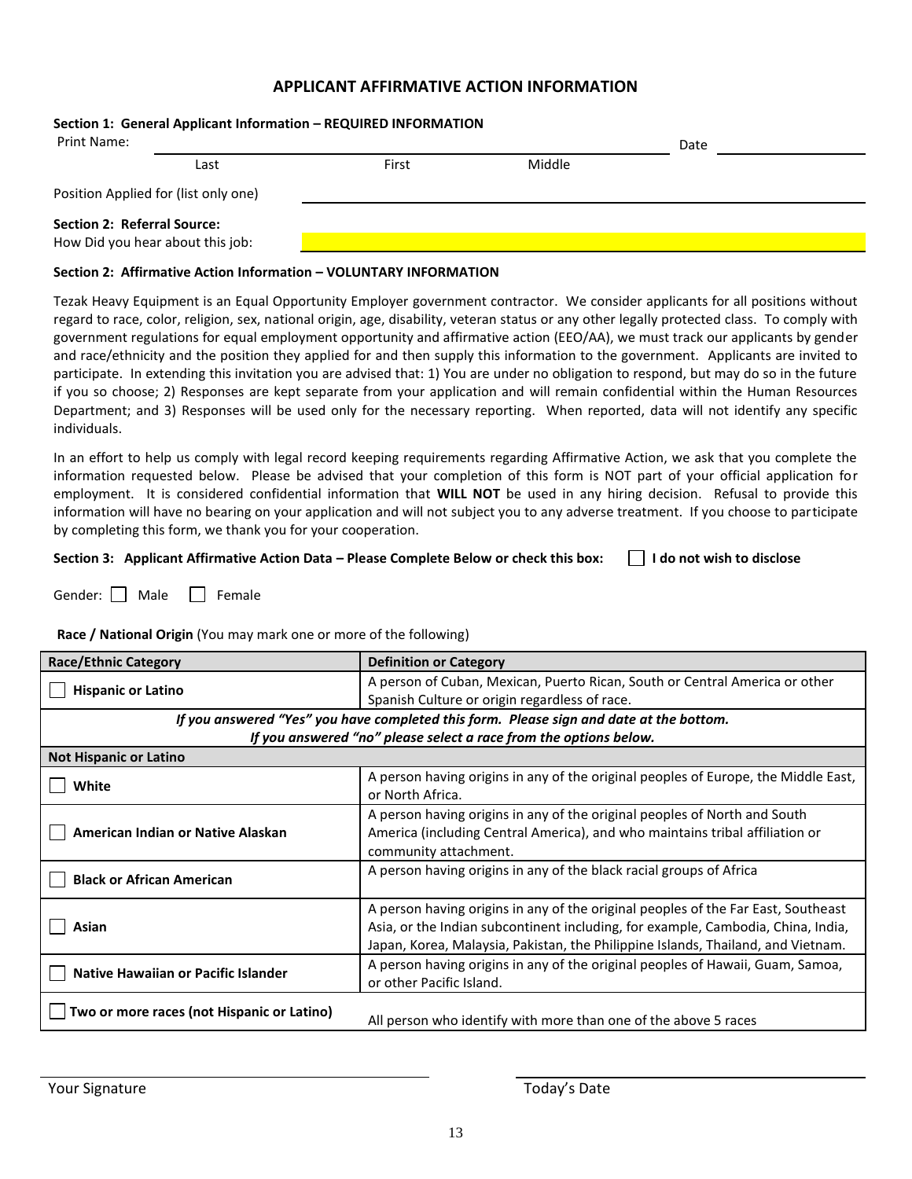## **APPLICANT AFFIRMATIVE ACTION INFORMATION**

### **Section 1: General Applicant Information – REQUIRED INFORMATION**

| Print Name:                        |                                      | Date  |        |  |  |
|------------------------------------|--------------------------------------|-------|--------|--|--|
|                                    | Last                                 | First | Middle |  |  |
|                                    | Position Applied for (list only one) |       |        |  |  |
| <b>Section 2: Referral Source:</b> |                                      |       |        |  |  |
| How Did you hear about this job:   |                                      |       |        |  |  |

#### **Section 2: Affirmative Action Information – VOLUNTARY INFORMATION**

Tezak Heavy Equipment is an Equal Opportunity Employer government contractor. We consider applicants for all positions without regard to race, color, religion, sex, national origin, age, disability, veteran status or any other legally protected class. To comply with government regulations for equal employment opportunity and affirmative action (EEO/AA), we must track our applicants by gender and race/ethnicity and the position they applied for and then supply this information to the government. Applicants are invited to participate. In extending this invitation you are advised that: 1) You are under no obligation to respond, but may do so in the future if you so choose; 2) Responses are kept separate from your application and will remain confidential within the Human Resources Department; and 3) Responses will be used only for the necessary reporting. When reported, data will not identify any specific individuals.

In an effort to help us comply with legal record keeping requirements regarding Affirmative Action, we ask that you complete the information requested below. Please be advised that your completion of this form is NOT part of your official application for employment. It is considered confidential information that **WILL NOT** be used in any hiring decision. Refusal to provide this information will have no bearing on your application and will not subject you to any adverse treatment. If you choose to participate by completing this form, we thank you for your cooperation.

### **Section 3: Applicant Affirmative Action Data – Please Complete Below or check this box: I do not wish to disclose**

Gender:  $\Box$  Male  $\Box$  Female

### **Race / National Origin** (You may mark one or more of the following)

| <b>Race/Ethnic Category</b>                                                             | <b>Definition or Category</b>                                                                                                                                                                                                                             |  |
|-----------------------------------------------------------------------------------------|-----------------------------------------------------------------------------------------------------------------------------------------------------------------------------------------------------------------------------------------------------------|--|
| <b>Hispanic or Latino</b>                                                               | A person of Cuban, Mexican, Puerto Rican, South or Central America or other<br>Spanish Culture or origin regardless of race.                                                                                                                              |  |
| If you answered "Yes" you have completed this form. Please sign and date at the bottom. |                                                                                                                                                                                                                                                           |  |
|                                                                                         | If you answered "no" please select a race from the options below.                                                                                                                                                                                         |  |
| <b>Not Hispanic or Latino</b>                                                           |                                                                                                                                                                                                                                                           |  |
| White                                                                                   | A person having origins in any of the original peoples of Europe, the Middle East,<br>or North Africa.                                                                                                                                                    |  |
| American Indian or Native Alaskan                                                       | A person having origins in any of the original peoples of North and South<br>America (including Central America), and who maintains tribal affiliation or<br>community attachment.                                                                        |  |
| <b>Black or African American</b>                                                        | A person having origins in any of the black racial groups of Africa                                                                                                                                                                                       |  |
| Asian                                                                                   | A person having origins in any of the original peoples of the Far East, Southeast<br>Asia, or the Indian subcontinent including, for example, Cambodia, China, India,<br>Japan, Korea, Malaysia, Pakistan, the Philippine Islands, Thailand, and Vietnam. |  |
| <b>Native Hawaiian or Pacific Islander</b>                                              | A person having origins in any of the original peoples of Hawaii, Guam, Samoa,<br>or other Pacific Island.                                                                                                                                                |  |
| Two or more races (not Hispanic or Latino)                                              | All person who identify with more than one of the above 5 races                                                                                                                                                                                           |  |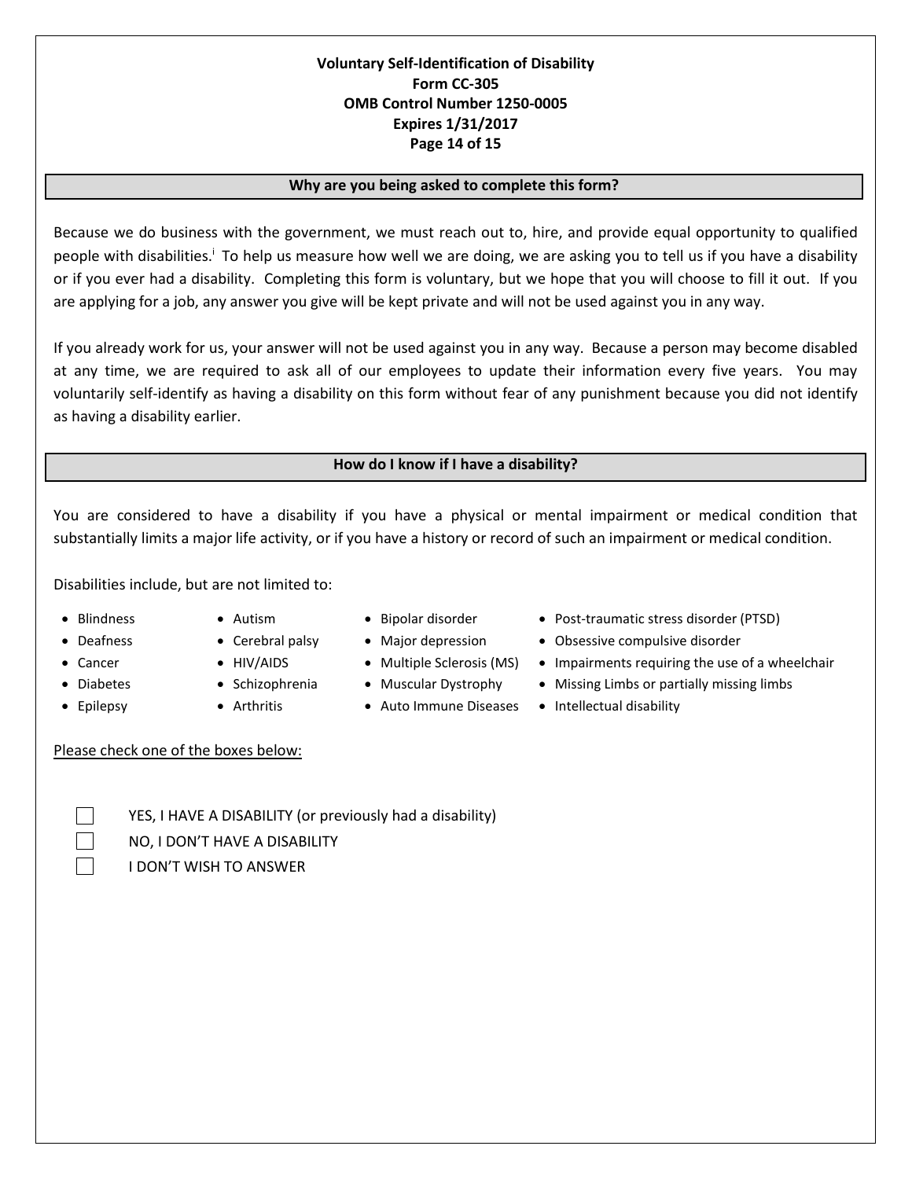## **Voluntary Self-Identification of Disability Form CC-305 OMB Control Number 1250-0005 Expires 1/31/2017 Page 14 of 15**

### **Why are you being asked to complete this form?**

Because we do business with the government, we must reach out to, hire, and provide equal opportunity to qualified people with disabilities.<sup>1</sup> To help us measure how well we are doing, we are asking you to tell us if you have a disability or if you ever had a disability. Completing this form is voluntary, but we hope that you will choose to fill it out. If you are applying for a job, any answer you give will be kept private and will not be used against you in any way.

If you already work for us, your answer will not be used against you in any way. Because a person may become disabled at any time, we are required to ask all of our employees to update their information every five years. You may voluntarily self-identify as having a disability on this form without fear of any punishment because you did not identify as having a disability earlier.

### **How do I know if I have a disability?**

You are considered to have a disability if you have a physical or mental impairment or medical condition that substantially limits a major life activity, or if you have a history or record of such an impairment or medical condition.

Disabilities include, but are not limited to:

- 
- 
- 
- 
- 
- -
- 
- -
- Epilepsy Arthritis Auto Immune Diseases Intellectual disability
- Blindness Autism Bipolar disorder Post-traumatic stress disorder (PTSD)
- Deafness Cerebral palsy Major depression Obsessive compulsive disorder
- Cancer HIV/AIDS Multiple Sclerosis (MS) Impairments requiring the use of a wheelchair
- Diabetes Schizophrenia Muscular Dystrophy Missing Limbs or partially missing limbs
	-

Please check one of the boxes below:

YES, I HAVE A DISABILITY (or previously had a disability) NO, I DON'T HAVE A DISABILITY I DON'T WISH TO ANSWER